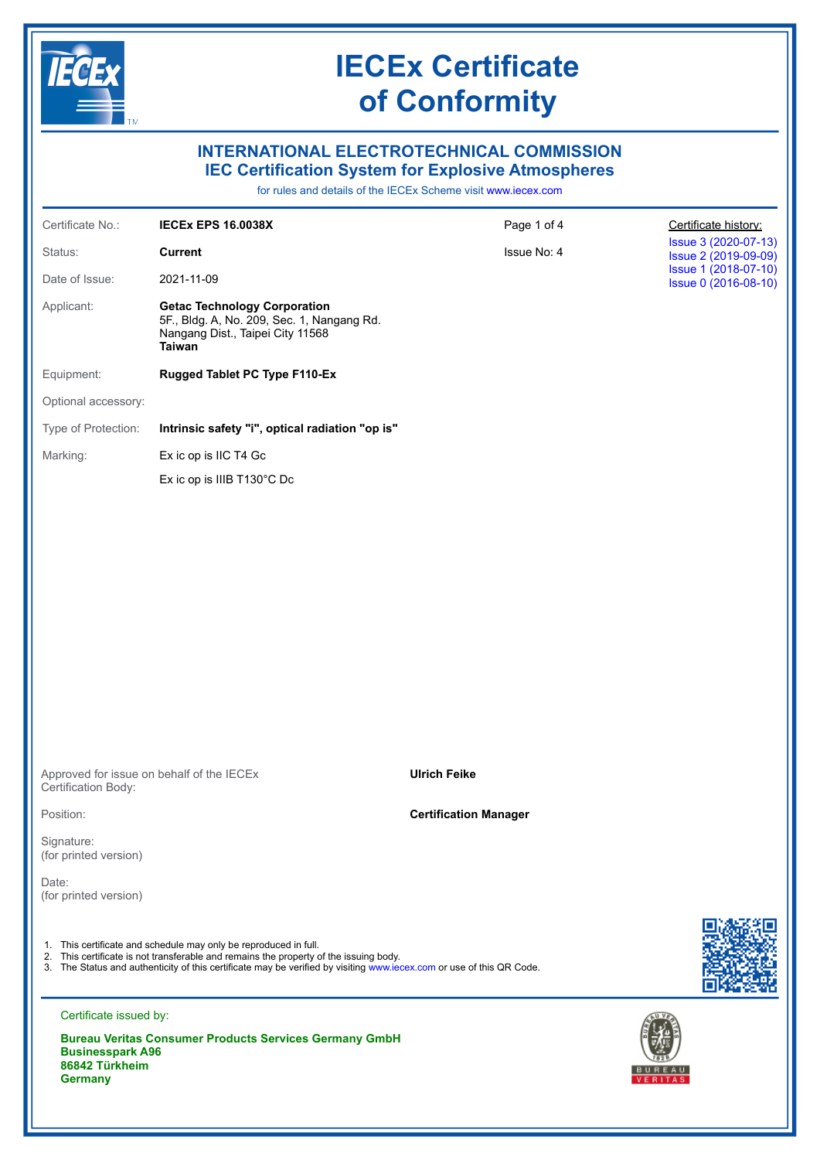

### **INTERNATIONAL ELECTROTECHNICAL COMMISSION IEC Certification System for Explosive Atmospheres**

for rules and details of the IECEx Scheme visit [www.iecex.com](https://www.iecex.com)

| Certificate No.:                                                                                                                                                                                                                                                                  | <b>IECEX EPS 16.0038X</b>                                                                                                              | Page 1 of 4                  | Certificate history:                         |  |
|-----------------------------------------------------------------------------------------------------------------------------------------------------------------------------------------------------------------------------------------------------------------------------------|----------------------------------------------------------------------------------------------------------------------------------------|------------------------------|----------------------------------------------|--|
| Status:                                                                                                                                                                                                                                                                           | <b>Current</b>                                                                                                                         | Issue No: 4                  | Issue 3 (2020-07-13)<br>Issue 2 (2019-09-09) |  |
| Date of Issue:                                                                                                                                                                                                                                                                    | 2021-11-09                                                                                                                             |                              | Issue 1 (2018-07-10)<br>Issue 0 (2016-08-10) |  |
| Applicant:                                                                                                                                                                                                                                                                        | <b>Getac Technology Corporation</b><br>5F., Bldg. A, No. 209, Sec. 1, Nangang Rd.<br>Nangang Dist., Taipei City 11568<br><b>Taiwan</b> |                              |                                              |  |
| Equipment:                                                                                                                                                                                                                                                                        | Rugged Tablet PC Type F110-Ex                                                                                                          |                              |                                              |  |
| Optional accessory:                                                                                                                                                                                                                                                               |                                                                                                                                        |                              |                                              |  |
| Type of Protection:                                                                                                                                                                                                                                                               | Intrinsic safety "i", optical radiation "op is"                                                                                        |                              |                                              |  |
| Marking:                                                                                                                                                                                                                                                                          | Ex ic op is IIC T4 Gc                                                                                                                  |                              |                                              |  |
|                                                                                                                                                                                                                                                                                   | Ex ic op is IIIB T130°C Dc                                                                                                             |                              |                                              |  |
|                                                                                                                                                                                                                                                                                   |                                                                                                                                        |                              |                                              |  |
|                                                                                                                                                                                                                                                                                   |                                                                                                                                        |                              |                                              |  |
|                                                                                                                                                                                                                                                                                   |                                                                                                                                        |                              |                                              |  |
|                                                                                                                                                                                                                                                                                   |                                                                                                                                        |                              |                                              |  |
|                                                                                                                                                                                                                                                                                   |                                                                                                                                        |                              |                                              |  |
|                                                                                                                                                                                                                                                                                   |                                                                                                                                        |                              |                                              |  |
|                                                                                                                                                                                                                                                                                   |                                                                                                                                        |                              |                                              |  |
|                                                                                                                                                                                                                                                                                   |                                                                                                                                        |                              |                                              |  |
|                                                                                                                                                                                                                                                                                   |                                                                                                                                        |                              |                                              |  |
|                                                                                                                                                                                                                                                                                   |                                                                                                                                        |                              |                                              |  |
| Approved for issue on behalf of the IECEx<br>Certification Body:                                                                                                                                                                                                                  |                                                                                                                                        | <b>Ulrich Feike</b>          |                                              |  |
| Position:                                                                                                                                                                                                                                                                         |                                                                                                                                        | <b>Certification Manager</b> |                                              |  |
| Signature:<br>(for printed version)                                                                                                                                                                                                                                               |                                                                                                                                        |                              |                                              |  |
| Date:<br>(for printed version)                                                                                                                                                                                                                                                    |                                                                                                                                        |                              |                                              |  |
|                                                                                                                                                                                                                                                                                   |                                                                                                                                        |                              |                                              |  |
| 1. This certificate and schedule may only be reproduced in full.<br>2. This certificate is not transferable and remains the property of the issuing body.<br>3. The Status and authenticity of this certificate may be verified by visiting www.iecex.com or use of this QR Code. |                                                                                                                                        |                              |                                              |  |
| Certificate issued by:                                                                                                                                                                                                                                                            |                                                                                                                                        |                              |                                              |  |
| <b>Businesspark A96</b><br>86842 Türkheim                                                                                                                                                                                                                                         | <b>Bureau Veritas Consumer Products Services Germany GmbH</b>                                                                          |                              |                                              |  |
| <b>Germany</b>                                                                                                                                                                                                                                                                    |                                                                                                                                        |                              |                                              |  |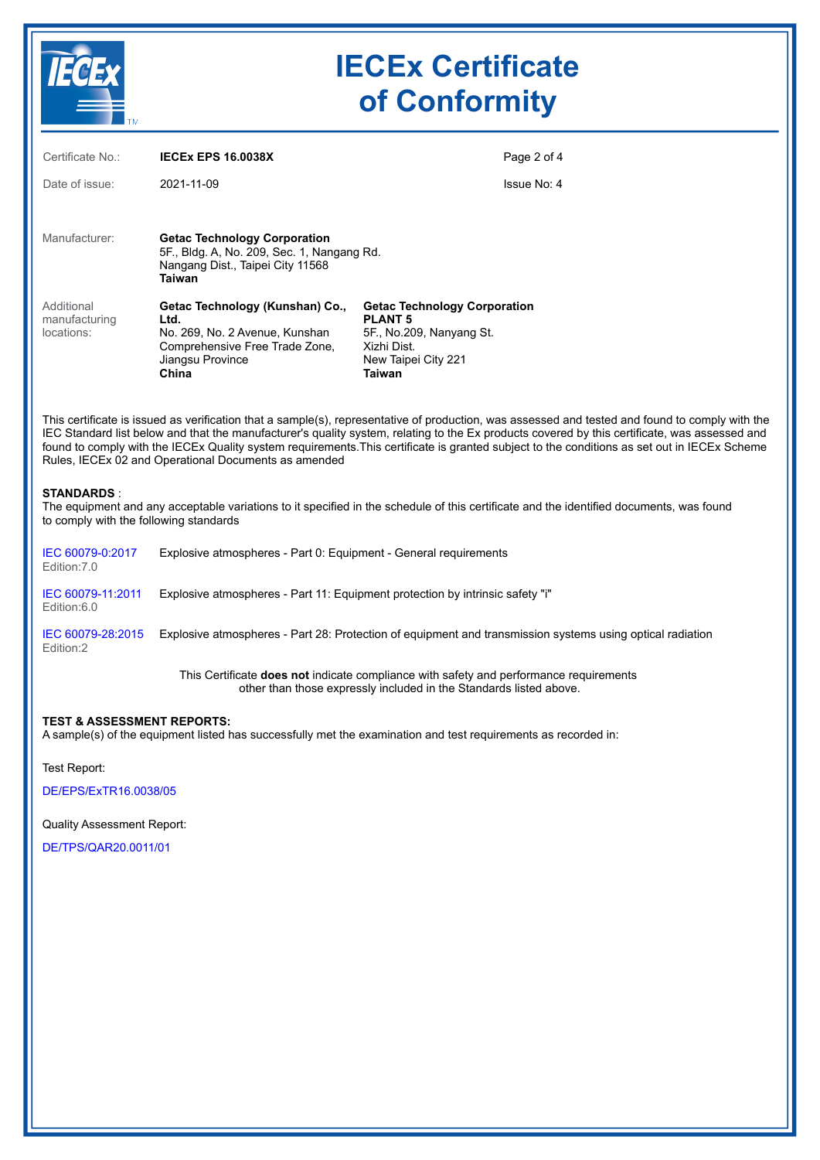

| Certificate No.:                          | <b>IECEX EPS 16.0038X</b>                                                                                                                |                                                                                                                                   | Page 2 of 4 |
|-------------------------------------------|------------------------------------------------------------------------------------------------------------------------------------------|-----------------------------------------------------------------------------------------------------------------------------------|-------------|
| Date of issue:                            | 2021-11-09                                                                                                                               |                                                                                                                                   | Issue No: 4 |
| Manufacturer:                             | <b>Getac Technology Corporation</b><br>5F., Bldg. A, No. 209, Sec. 1, Nangang Rd.<br>Nangang Dist., Taipei City 11568<br>Taiwan          |                                                                                                                                   |             |
| Additional<br>manufacturing<br>locations: | Getac Technology (Kunshan) Co.,<br>Ltd.<br>No. 269, No. 2 Avenue, Kunshan<br>Comprehensive Free Trade Zone,<br>Jiangsu Province<br>China | <b>Getac Technology Corporation</b><br><b>PLANT 5</b><br>5F., No.209, Nanyang St.<br>Xizhi Dist.<br>New Taipei City 221<br>Taiwan |             |

This certificate is issued as verification that a sample(s), representative of production, was assessed and tested and found to comply with the IEC Standard list below and that the manufacturer's quality system, relating to the Ex products covered by this certificate, was assessed and found to comply with the IECEx Quality system requirements.This certificate is granted subject to the conditions as set out in IECEx Scheme Rules, IECEx 02 and Operational Documents as amended

#### **STANDARDS** :

The equipment and any acceptable variations to it specified in the schedule of this certificate and the identified documents, was found to comply with the following standards

| IEC 60079-0:2017<br>Edition: 7.0 | Explosive atmospheres - Part 0: Equipment - General requirements                                          |
|----------------------------------|-----------------------------------------------------------------------------------------------------------|
| IEC 60079-11:2011<br>Edition:6.0 | Explosive atmospheres - Part 11: Equipment protection by intrinsic safety "i"                             |
| IEC 60079-28:2015<br>Edition:2   | Explosive atmospheres - Part 28: Protection of equipment and transmission systems using optical radiation |
|                                  |                                                                                                           |

This Certificate **does not** indicate compliance with safety and performance requirements other than those expressly included in the Standards listed above.

#### **TEST & ASSESSMENT REPORTS:**

A sample(s) of the equipment listed has successfully met the examination and test requirements as recorded in:

Test Report:

[DE/EPS/ExTR16.0038/05](https://www.iecex-certs.com/#/deliverables/REPORT/78439/view)

Quality Assessment Report:

[DE/TPS/QAR20.0011/01](https://www.iecex-certs.com/#/deliverables/REPORT/72295/view)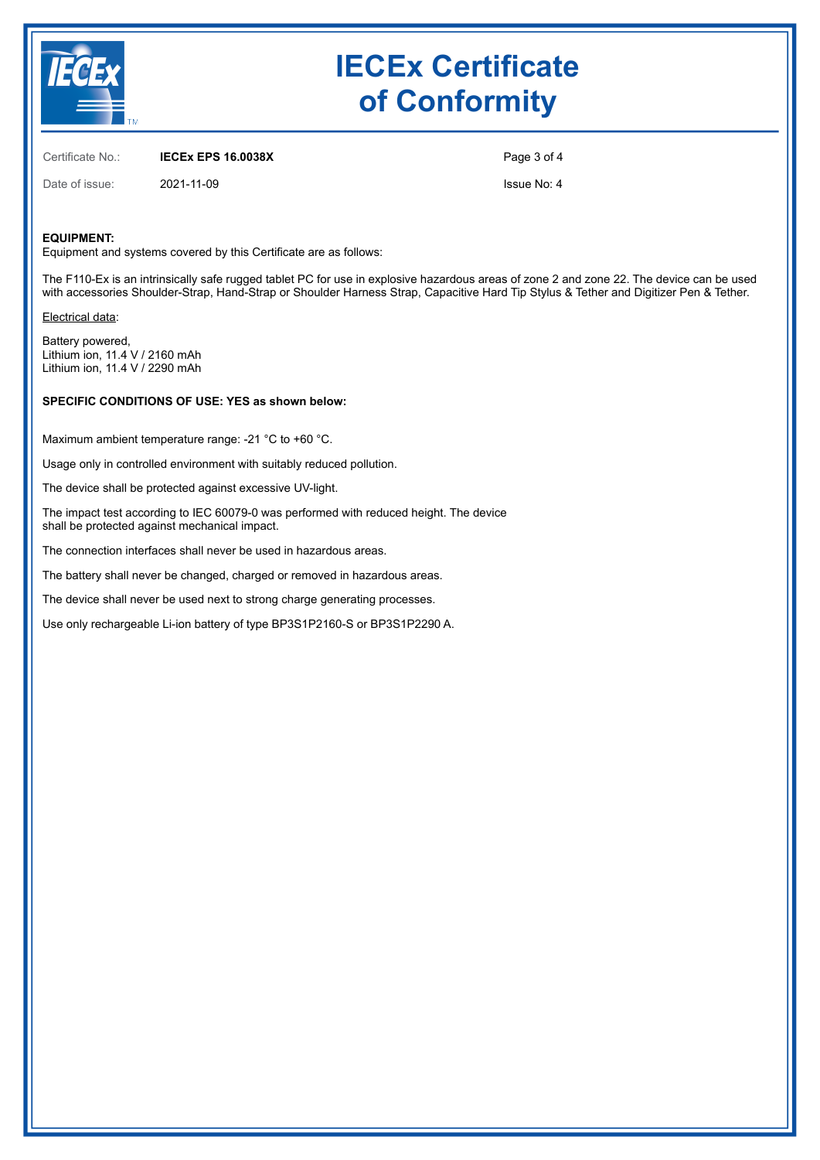

Certificate No.: **IECEx EPS 16.0038X**

Page 3 of 4

Date of issue: 2021-11-09

Issue No: 4

### **EQUIPMENT:**

Equipment and systems covered by this Certificate are as follows:

The F110-Ex is an intrinsically safe rugged tablet PC for use in explosive hazardous areas of zone 2 and zone 22. The device can be used with accessories Shoulder-Strap, Hand-Strap or Shoulder Harness Strap, Capacitive Hard Tip Stylus & Tether and Digitizer Pen & Tether.

Electrical data:

Battery powered, Lithium ion, 11.4 V / 2160 mAh Lithium ion, 11.4 V / 2290 mAh

### **SPECIFIC CONDITIONS OF USE: YES as shown below:**

Maximum ambient temperature range: -21 °C to +60 °C.

Usage only in controlled environment with suitably reduced pollution.

The device shall be protected against excessive UV-light.

The impact test according to IEC 60079-0 was performed with reduced height. The device shall be protected against mechanical impact.

The connection interfaces shall never be used in hazardous areas.

The battery shall never be changed, charged or removed in hazardous areas.

The device shall never be used next to strong charge generating processes.

Use only rechargeable Li-ion battery of type BP3S1P2160-S or BP3S1P2290 A.